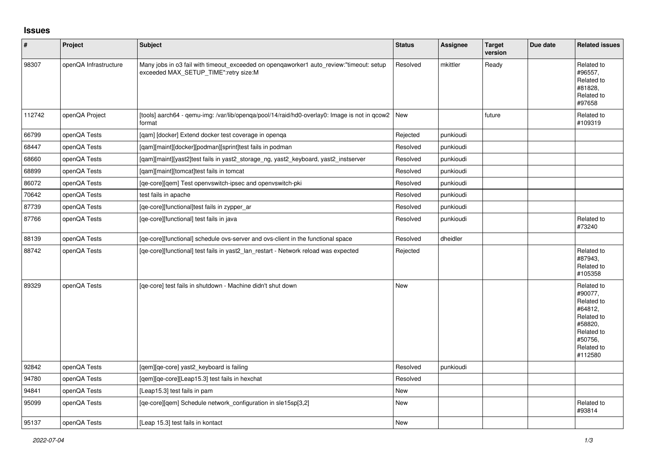## **Issues**

| $\vert$ # | Project               | <b>Subject</b>                                                                                                                   | <b>Status</b> | Assignee  | <b>Target</b><br>version | Due date | <b>Related issues</b>                                                                                                     |
|-----------|-----------------------|----------------------------------------------------------------------------------------------------------------------------------|---------------|-----------|--------------------------|----------|---------------------------------------------------------------------------------------------------------------------------|
| 98307     | openQA Infrastructure | Many jobs in o3 fail with timeout_exceeded on openqaworker1 auto_review:"timeout: setup<br>exceeded MAX_SETUP_TIME":retry size:M | Resolved      | mkittler  | Ready                    |          | Related to<br>#96557,<br>Related to<br>#81828,<br>Related to<br>#97658                                                    |
| 112742    | openQA Project        | [tools] aarch64 - gemu-img: /var/lib/openga/pool/14/raid/hd0-overlay0: Image is not in gcow2   New<br>format                     |               |           | future                   |          | Related to<br>#109319                                                                                                     |
| 66799     | openQA Tests          | [gam] [docker] Extend docker test coverage in openga                                                                             | Rejected      | punkioudi |                          |          |                                                                                                                           |
| 68447     | openQA Tests          | [qam][maint][docker][podman][sprint]test fails in podman                                                                         | Resolved      | punkioudi |                          |          |                                                                                                                           |
| 68660     | openQA Tests          | [qam][maint][yast2]test fails in yast2_storage_ng, yast2_keyboard, yast2_instserver                                              | Resolved      | punkioudi |                          |          |                                                                                                                           |
| 68899     | openQA Tests          | [gam][maint][tomcat]test fails in tomcat                                                                                         | Resolved      | punkioudi |                          |          |                                                                                                                           |
| 86072     | openQA Tests          | [qe-core][qem] Test openvswitch-ipsec and openvswitch-pki                                                                        | Resolved      | punkioudi |                          |          |                                                                                                                           |
| 70642     | openQA Tests          | test fails in apache                                                                                                             | Resolved      | punkioudi |                          |          |                                                                                                                           |
| 87739     | openQA Tests          | [qe-core][functional]test fails in zypper ar                                                                                     | Resolved      | punkioudi |                          |          |                                                                                                                           |
| 87766     | openQA Tests          | [ge-core][functional] test fails in java                                                                                         | Resolved      | punkioudi |                          |          | Related to<br>#73240                                                                                                      |
| 88139     | openQA Tests          | [qe-core][functional] schedule ovs-server and ovs-client in the functional space                                                 | Resolved      | dheidler  |                          |          |                                                                                                                           |
| 88742     | openQA Tests          | [ge-core][functional] test fails in yast2 lan restart - Network reload was expected                                              | Rejected      |           |                          |          | Related to<br>#87943,<br>Related to<br>#105358                                                                            |
| 89329     | openQA Tests          | [ge-core] test fails in shutdown - Machine didn't shut down                                                                      | <b>New</b>    |           |                          |          | Related to<br>#90077,<br>Related to<br>#64812,<br>Related to<br>#58820,<br>Related to<br>#50756,<br>Related to<br>#112580 |
| 92842     | openQA Tests          | [qem][qe-core] yast2_keyboard is failing                                                                                         | Resolved      | punkioudi |                          |          |                                                                                                                           |
| 94780     | openQA Tests          | [qem][qe-core][Leap15.3] test fails in hexchat                                                                                   | Resolved      |           |                          |          |                                                                                                                           |
| 94841     | openQA Tests          | [Leap15.3] test fails in pam                                                                                                     | <b>New</b>    |           |                          |          |                                                                                                                           |
| 95099     | openQA Tests          | [qe-core][qem] Schedule network_configuration in sle15sp[3,2]                                                                    | <b>New</b>    |           |                          |          | Related to<br>#93814                                                                                                      |
| 95137     | openQA Tests          | [Leap 15.3] test fails in kontact                                                                                                | <b>New</b>    |           |                          |          |                                                                                                                           |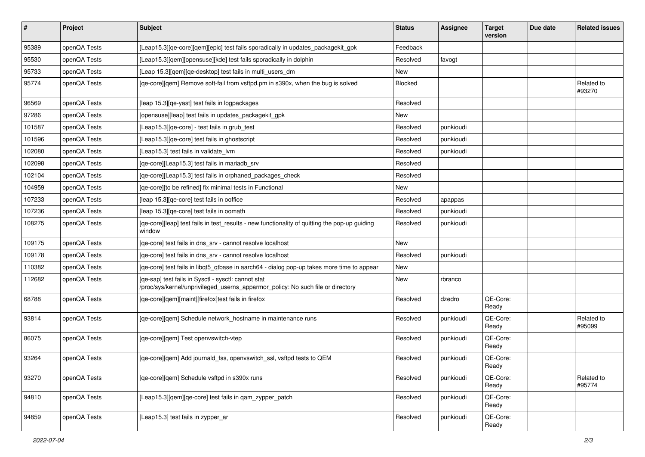| $\sharp$ | <b>Project</b> | Subject                                                                                                                                | <b>Status</b> | <b>Assignee</b> | <b>Target</b><br>version | Due date | <b>Related issues</b> |
|----------|----------------|----------------------------------------------------------------------------------------------------------------------------------------|---------------|-----------------|--------------------------|----------|-----------------------|
| 95389    | openQA Tests   | [Leap15.3][qe-core][qem][epic] test fails sporadically in updates_packagekit_gpk                                                       | Feedback      |                 |                          |          |                       |
| 95530    | openQA Tests   | [Leap15.3][qem][opensuse][kde] test fails sporadically in dolphin                                                                      | Resolved      | favogt          |                          |          |                       |
| 95733    | openQA Tests   | [Leap 15.3][qem][qe-desktop] test fails in multi_users_dm                                                                              | New           |                 |                          |          |                       |
| 95774    | openQA Tests   | [qe-core][qem] Remove soft-fail from vsftpd.pm in s390x, when the bug is solved                                                        | Blocked       |                 |                          |          | Related to<br>#93270  |
| 96569    | openQA Tests   | [leap 15.3][qe-yast] test fails in logpackages                                                                                         | Resolved      |                 |                          |          |                       |
| 97286    | openQA Tests   | [opensuse][leap] test fails in updates packagekit gpk                                                                                  | New           |                 |                          |          |                       |
| 101587   | openQA Tests   | [Leap15.3][qe-core] - test fails in grub_test                                                                                          | Resolved      | punkioudi       |                          |          |                       |
| 101596   | openQA Tests   | [Leap15.3] [qe-core] test fails in ghostscript                                                                                         | Resolved      | punkioudi       |                          |          |                       |
| 102080   | openQA Tests   | [Leap15.3] test fails in validate lvm                                                                                                  | Resolved      | punkioudi       |                          |          |                       |
| 102098   | openQA Tests   | [qe-core][Leap15.3] test fails in mariadb srv                                                                                          | Resolved      |                 |                          |          |                       |
| 102104   | openQA Tests   | [qe-core][Leap15.3] test fails in orphaned_packages_check                                                                              | Resolved      |                 |                          |          |                       |
| 104959   | openQA Tests   | [qe-core][to be refined] fix minimal tests in Functional                                                                               | New           |                 |                          |          |                       |
| 107233   | openQA Tests   | [leap 15.3] [qe-core] test fails in ooffice                                                                                            | Resolved      | apappas         |                          |          |                       |
| 107236   | openQA Tests   | [leap 15.3] [qe-core] test fails in oomath                                                                                             | Resolved      | punkioudi       |                          |          |                       |
| 108275   | openQA Tests   | [qe-core][leap] test fails in test_results - new functionality of quitting the pop-up guiding<br>window                                | Resolved      | punkioudi       |                          |          |                       |
| 109175   | openQA Tests   | [ge-core] test fails in dns srv - cannot resolve localhost                                                                             | New           |                 |                          |          |                       |
| 109178   | openQA Tests   | [qe-core] test fails in dns_srv - cannot resolve localhost                                                                             | Resolved      | punkioudi       |                          |          |                       |
| 110382   | openQA Tests   | [qe-core] test fails in libqt5_qtbase in aarch64 - dialog pop-up takes more time to appear                                             | New           |                 |                          |          |                       |
| 112682   | openQA Tests   | [qe-sap] test fails in Sysctl - sysctl: cannot stat<br>/proc/sys/kernel/unprivileged_userns_apparmor_policy: No such file or directory | <b>New</b>    | rbranco         |                          |          |                       |
| 68788    | openQA Tests   | [qe-core][qem][maint][firefox]test fails in firefox                                                                                    | Resolved      | dzedro          | QE-Core:<br>Ready        |          |                       |
| 93814    | openQA Tests   | [qe-core][qem] Schedule network_hostname in maintenance runs                                                                           | Resolved      | punkioudi       | QE-Core:<br>Ready        |          | Related to<br>#95099  |
| 86075    | openQA Tests   | [qe-core][qem] Test openvswitch-vtep                                                                                                   | Resolved      | punkioudi       | QE-Core:<br>Ready        |          |                       |
| 93264    | openQA Tests   | [qe-core][qem] Add journald_fss, openvswitch_ssl, vsftpd tests to QEM                                                                  | Resolved      | punkioudi       | QE-Core:<br>Ready        |          |                       |
| 93270    | openQA Tests   | [qe-core][qem] Schedule vsftpd in s390x runs                                                                                           | Resolved      | punkioudi       | QE-Core:<br>Ready        |          | Related to<br>#95774  |
| 94810    | openQA Tests   | [Leap15.3][gem][ge-core] test fails in gam zypper patch                                                                                | Resolved      | punkioudi       | QE-Core:<br>Ready        |          |                       |
| 94859    | openQA Tests   | [Leap15.3] test fails in zypper_ar                                                                                                     | Resolved      | punkioudi       | QE-Core:<br>Ready        |          |                       |